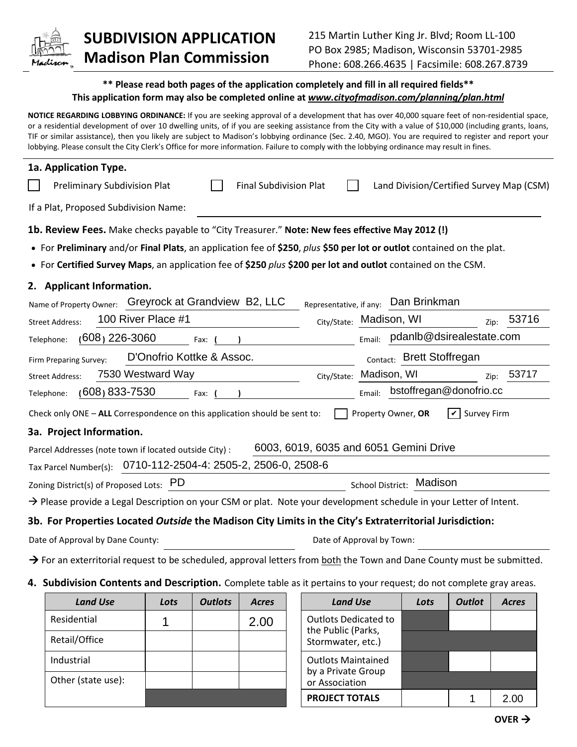

## **SUBDIVISION APPLICATION Madison Plan Commission**

## **\*\* Please read both pages of the application completely and fill in all required fields\*\* This application form may also be completed online at** *www.cityofmadison.com/planning/plan.html*

**NOTICE REGARDING LOBBYING ORDINANCE:** If you are seeking approval of a development that has over 40,000 square feet of non-residential space, or a residential development of over 10 dwelling units, of if you are seeking assistance from the City with a value of \$10,000 (including grants, loans, TIF or similar assistance), then you likely are subject to Madison's lobbying ordinance (Sec. 2.40, MGO). You are required to register and report your lobbying. Please consult the City Clerk's Office for more information. Failure to comply with the lobbying ordinance may result in fines.

| 1a. Application Type.                                                                                                              |                                                   |  |  |  |  |  |
|------------------------------------------------------------------------------------------------------------------------------------|---------------------------------------------------|--|--|--|--|--|
| <b>Preliminary Subdivision Plat</b><br><b>Final Subdivision Plat</b>                                                               | Land Division/Certified Survey Map (CSM)          |  |  |  |  |  |
| If a Plat, Proposed Subdivision Name:                                                                                              |                                                   |  |  |  |  |  |
| 1b. Review Fees. Make checks payable to "City Treasurer." Note: New fees effective May 2012 (!)                                    |                                                   |  |  |  |  |  |
| • For Preliminary and/or Final Plats, an application fee of \$250, plus \$50 per lot or outlot contained on the plat.              |                                                   |  |  |  |  |  |
| • For Certified Survey Maps, an application fee of \$250 plus \$200 per lot and outlot contained on the CSM.                       |                                                   |  |  |  |  |  |
| 2. Applicant Information.                                                                                                          |                                                   |  |  |  |  |  |
| Name of Property Owner: Greyrock at Grandview B2, LLC                                                                              | Representative, if any: Dan Brinkman              |  |  |  |  |  |
| 100 River Place #1<br><b>Street Address:</b>                                                                                       | 53716<br>City/State: Madison, WI<br>Zip:          |  |  |  |  |  |
| $(608)$ 226-3060<br>Telephone:<br>Fax:                                                                                             | Email: pdanlb@dsirealestate.com                   |  |  |  |  |  |
| D'Onofrio Kottke & Assoc.<br>Firm Preparing Survey:                                                                                | Contact: Brett Stoffregan                         |  |  |  |  |  |
| 7530 Westward Way<br>City/State:<br><b>Street Address:</b>                                                                         | Madison, WI<br>53717<br>Zip:                      |  |  |  |  |  |
| (608) 833-7530<br>Telephone:<br>Fax:                                                                                               | bstoffregan@donofrio.cc<br>Email:                 |  |  |  |  |  |
| Check only ONE - ALL Correspondence on this application should be sent to:                                                         | $\triangledown$ Survey Firm<br>Property Owner, OR |  |  |  |  |  |
| 3a. Project Information.                                                                                                           |                                                   |  |  |  |  |  |
| 6003, 6019, 6035 and 6051 Gemini Drive<br>Parcel Addresses (note town if located outside City) :                                   |                                                   |  |  |  |  |  |
| Tax Parcel Number(s): 0710-112-2504-4: 2505-2, 2506-0, 2508-6                                                                      |                                                   |  |  |  |  |  |
| Zoning District(s) of Proposed Lots: PD                                                                                            | School District: Madison                          |  |  |  |  |  |
| $\rightarrow$ Please provide a Legal Description on your CSM or plat. Note your development schedule in your Letter of Intent.     |                                                   |  |  |  |  |  |
| 3b. For Properties Located Outside the Madison City Limits in the City's Extraterritorial Jurisdiction:                            |                                                   |  |  |  |  |  |
| Date of Approval by Dane County:                                                                                                   | Date of Approval by Town:                         |  |  |  |  |  |
| $\rightarrow$ For an exterritorial request to be scheduled, approval letters from both the Town and Dane County must be submitted. |                                                   |  |  |  |  |  |

**4. Subdivision Contents and Description.** Complete table as it pertains to your request; do not complete gray areas.

| <b>Land Use</b>    | Lots | <b>Outlots</b> | <b>Acres</b> |                                      | <b>Land Use</b>                                   | Lots | <b>Outlot</b> | <b>Acres</b> |
|--------------------|------|----------------|--------------|--------------------------------------|---------------------------------------------------|------|---------------|--------------|
| Residential        |      |                | 2.00         |                                      | <b>Outlots Dedicated to</b><br>the Public (Parks, |      |               |              |
| Retail/Office      |      |                |              |                                      | Stormwater, etc.)                                 |      |               |              |
| Industrial         |      |                |              |                                      | <b>Outlots Maintained</b>                         |      |               |              |
| Other (state use): |      |                |              | by a Private Group<br>or Association |                                                   |      |               |              |
|                    |      |                |              |                                      | <b>PROJECT TOTALS</b>                             |      |               | 2.00         |